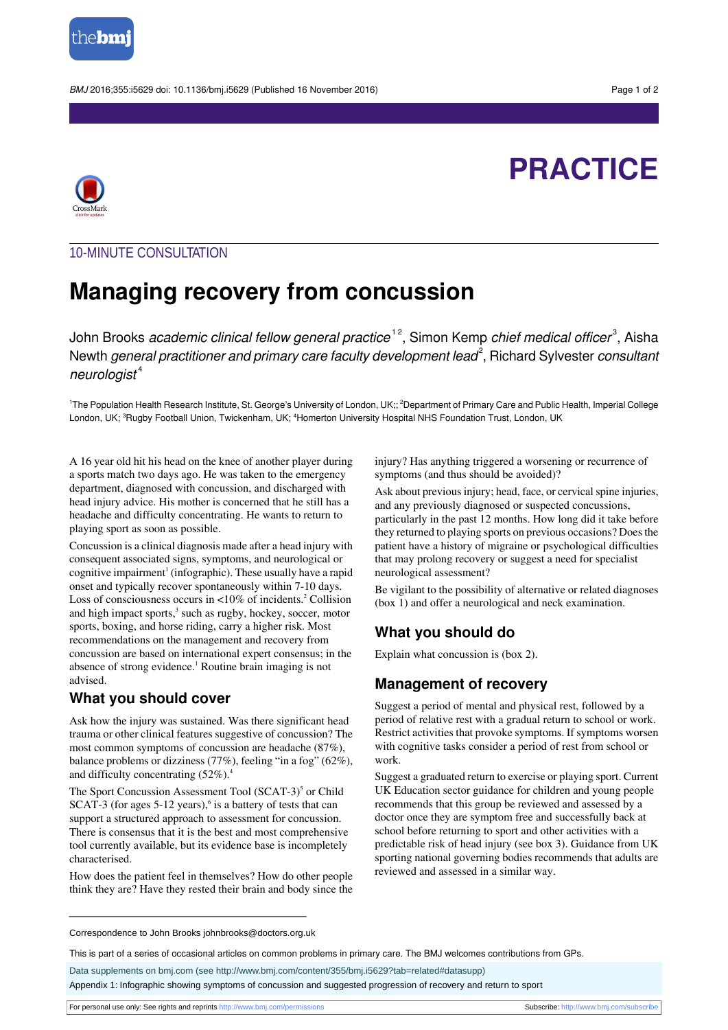

BMJ 2016:355:i5629 doi: 10.1136/bmj.i5629 (Published 16 November 2016) Page 1 of 2

# **PRACTICE**



## 10-MINUTE CONSULTATION

## **Managing recovery from concussion**

John Brooks *academic clinical fellow general practice*  $^{\text{\tiny{12}}}$ , Simon Kemp *chief medical officer* $^{\text{\tiny{3}}}$ , Aisha Newth *general practitioner and primary care faculty development lead* $^2$ *, Richard Sylvester*  $\it constant$  $neuroloa$ ist<sup>4</sup>

<sup>1</sup>The Population Health Research Institute, St. George's University of London, UK;; <sup>2</sup>Department of Primary Care and Public Health, Imperial College London, UK; <sup>3</sup>Rugby Football Union, Twickenham, UK; <sup>4</sup>Homerton University Hospital NHS Foundation Trust, London, UK

A 16 year old hit his head on the knee of another player during a sports match two days ago. He was taken to the emergency department, diagnosed with concussion, and discharged with head injury advice. His mother is concerned that he still has a headache and difficulty concentrating. He wants to return to playing sport as soon as possible.

Concussion is a clinical diagnosis made after a head injury with consequent associated signs, symptoms, and neurological or cognitive impairment<sup>1</sup> (infographic). These usually have a rapid onset and typically recover spontaneously within 7-10 days. Loss of consciousness occurs in  $\langle 10\% \rangle$  of incidents.<sup>2</sup> Collision and high impact sports,<sup>3</sup> such as rugby, hockey, soccer, motor sports, boxing, and horse riding, carry a higher risk. Most recommendations on the management and recovery from concussion are based on international expert consensus; in the absence of strong evidence.<sup>1</sup> Routine brain imaging is not advised.

## **What you should cover**

Ask how the injury was sustained. Was there significant head trauma or other clinical features suggestive of concussion? The most common symptoms of concussion are headache (87%), balance problems or dizziness (77%), feeling "in a fog" (62%), and difficulty concentrating  $(52\%)$ .

The Sport Concussion Assessment Tool (SCAT-3)<sup>5</sup> or Child  $SCAT-3$  (for ages 5-12 years), $6$  is a battery of tests that can support a structured approach to assessment for concussion. There is consensus that it is the best and most comprehensive tool currently available, but its evidence base is incompletely characterised.

How does the patient feel in themselves? How do other people think they are? Have they rested their brain and body since the injury? Has anything triggered a worsening or recurrence of symptoms (and thus should be avoided)?

Ask about previous injury; head, face, or cervical spine injuries, and any previously diagnosed or suspected concussions, particularly in the past 12 months. How long did it take before they returned to playing sports on previous occasions? Doesthe patient have a history of migraine or psychological difficulties

that may prolong recovery or suggest a need for specialist neurological assessment?

Be vigilant to the possibility of alternative or related diagnoses (box 1) and offer a neurological and neck examination.

## **What you should do**

Explain what concussion is (box 2).

### **Management of recovery**

Suggest a period of mental and physical rest, followed by a period of relative rest with a gradual return to school or work. Restrict activities that provoke symptoms. If symptoms worsen with cognitive tasks consider a period of rest from school or work.

Suggest a graduated return to exercise or playing sport. Current UK Education sector guidance for children and young people recommends that this group be reviewed and assessed by a doctor once they are symptom free and successfully back at school before returning to sport and other activities with a predictable risk of head injury (see box 3). Guidance from UK sporting national governing bodies recommends that adults are reviewed and assessed in a similar way.

Appendix 1: Infographic showing symptoms of concussion and suggested progression of recovery and return to sport

Correspondence to John Brooks johnbrooks@doctors.org.uk

This is part of a series of occasional articles on common problems in primary care. The BMJ welcomes contributions from GPs.

Data supplements on bmj.com (see <http://www.bmj.com/content/355/bmj.i5629?tab=related#datasupp>)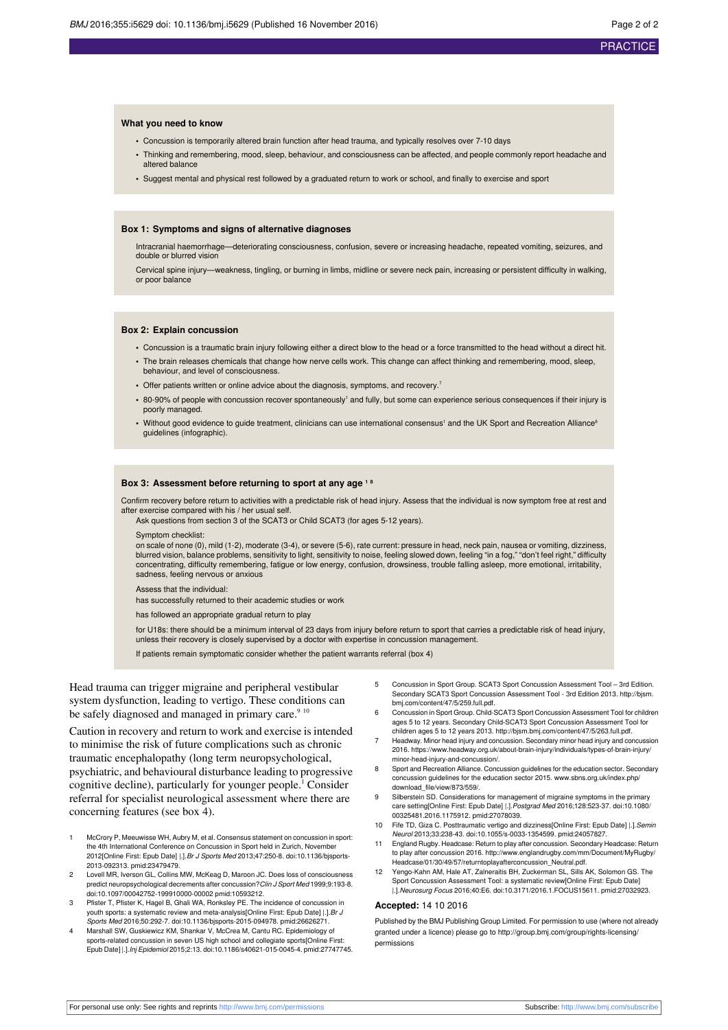#### **What you need to know**

- **•** Concussion is temporarily altered brain function after head trauma, and typically resolves over 7-10 days
- **•** Thinking and remembering, mood, sleep, behaviour, and consciousness can be affected, and people commonly report headache and altered balance
- **•** Suggest mental and physical rest followed by a graduated return to work or school, and finally to exercise and sport

#### **Box 1: Symptoms and signs of alternative diagnoses**

Intracranial haemorrhage—deteriorating consciousness, confusion, severe or increasing headache, repeated vomiting, seizures, and double or blurred vision

Cervical spine injury—weakness, tingling, or burning in limbs, midline or severe neck pain, increasing or persistent difficulty in walking, or poor balance

#### **Box 2: Explain concussion**

- **•** Concussion is a traumatic brain injury following either a direct blow to the head or a force transmitted to the head without a direct hit.
- **•** The brain releases chemicals that change how nerve cells work. This change can affect thinking and remembering, mood, sleep, behaviour, and level of consciousness.
- Offer patients written or online advice about the diagnosis, symptoms, and recovery.<sup>7</sup>
- 80-90% of people with concussion recover spontaneously<sup>1</sup> and fully, but some can experience serious consequences if their injury is poorly managed.
- Without good evidence to guide treatment, clinicians can use international consensus<sup>1</sup> and the UK Sport and Recreation Alliance<sup>8</sup> guidelines (infographic).

#### **Box 3: Assessment before returning to sport at any age <sup>1</sup> <sup>8</sup>**

Confirm recovery before return to activities with a predictable risk of head injury. Assess that the individual is now symptom free at rest and after exercise compared with his / her usual self.

Ask questions from section 3 of the SCAT3 or Child SCAT3 (for ages 5-12 years).

Symptom checklist:

on scale of none (0), mild (1-2), moderate (3-4), or severe (5-6), rate current: pressure in head, neck pain, nausea or vomiting, dizziness, blurred vision, balance problems, sensitivity to light, sensitivity to noise, feeling slowed down, feeling "in a fog," "don't feel right," difficulty concentrating, difficulty remembering, fatigue or low energy, confusion, drowsiness, trouble falling asleep, more emotional, irritability, sadness, feeling nervous or anxious

#### Assess that the individual:

has successfully returned to their academic studies or work

has followed an appropriate gradual return to play

for U18s: there should be a minimum interval of 23 days from injury before return to sport that carries a predictable risk of head injury, unless their recovery is closely supervised by a doctor with expertise in concussion management.

If patients remain symptomatic consider whether the patient warrants referral (box 4)

Head trauma can trigger migraine and peripheral vestibular system dysfunction, leading to vertigo. These conditions can be safely diagnosed and managed in primary care.<sup>9 10</sup>

Caution in recovery and return to work and exercise is intended to minimise the risk of future complications such as chronic traumatic encephalopathy (long term neuropsychological, psychiatric, and behavioural disturbance leading to progressive cognitive decline), particularly for younger people.<sup>1</sup> Consider referral for specialist neurological assessment where there are concerning features (see box 4).

- McCrory P, Meeuwisse WH, Aubry M, et al. Consensus statement on concussion in sport: the 4th International Conference on Concussion in Sport held in Zurich, November 2012[Online First: Epub Date] |.].Br J Sports Med 2013;47:250-8. [doi:10.1136/bjsports-](http://dx.doi.org/10.1136/bjsports-2013-092313)[2013-092313](http://dx.doi.org/10.1136/bjsports-2013-092313). [pmid:23479479.](http://www.ncbi.nlm.nih.gov/pubmed/?term=23479479)
- Lovell MR, Iverson GL, Collins MW, McKeag D, Maroon JC. Does loss of consciousness predict neuropsychological decrements after concussion? Clin J Sport Med 1999;9:193-8. [doi:10.1097/00042752-199910000-00002](http://dx.doi.org/10.1097/00042752-199910000-00002) [pmid:10593212.](http://www.ncbi.nlm.nih.gov/pubmed/?term=10593212)
- 3 Pfister T, Pfister K, Hagel B, Ghali WA, Ronksley PE. The incidence of concussion in youth sports: a systematic review and meta-analysis[Online First: Epub Date] |.].Br J Sports Med 2016;50:292-7. [doi:10.1136/bjsports-2015-094978](http://dx.doi.org/10.1136/bjsports-2015-094978). [pmid:26626271](http://www.ncbi.nlm.nih.gov/pubmed/?term=26626271).
- 4 Marshall SW, Guskiewicz KM, Shankar V, McCrea M, Cantu RC. Epidemiology of sports-related concussion in seven US high school and collegiate sports[Online First: Epub Date] |.].Inj Epidemiol 2015;2:13. [doi:10.1186/s40621-015-0045-4.](http://dx.doi.org/10.1186/s40621-015-0045-4) [pmid:27747745](http://www.ncbi.nlm.nih.gov/pubmed/?term=27747745).
- 5 Concussion in Sport Group. SCAT3 Sport Concussion Assessment Tool 3rd Edition. Secondary SCAT3 Sport Concussion Assessment Tool - 3rd Edition 2013. [http://bjsm.](http://bjsm.bmj.com/content/47/5/259.full.pdf) [bmj.com/content/47/5/259.full.pdf.](http://bjsm.bmj.com/content/47/5/259.full.pdf)
- 6 Concussion in Sport Group. Child-SCAT3 Sport Concussion Assessment Tool for children ages 5 to 12 years. Secondary Child-SCAT3 Sport Concussion Assessment Tool for children ages 5 to 12 years 2013. [http://bjsm.bmj.com/content/47/5/263.full.pdf.](http://bjsm.bmj.com/content/47/5/263.full.pdf)
- Headway. Minor head injury and concussion. Secondary minor head injury and concussion 2016. https://www.headway.org.uk/about-brain-injury/individuals/types-of-brain-injury/ minor-head-injury-and-concussion/.
- 8 Sport and Recreation Alliance. Concussion guidelines for the education sector. Secondary concussion guidelines for the education sector 2015. [www.sbns.org.uk/index.php/](http://www.sbns.org.uk/index.php/download_file/view/873/559/) [download\\_file/view/873/559/.](http://www.sbns.org.uk/index.php/download_file/view/873/559/)
- 9 Silberstein SD. Considerations for management of migraine symptoms in the primary care setting[Online First: Epub Date] |.].Postgrad Med 2016;128:523-37. [doi:10.1080/](http://dx.doi.org/10.1080/00325481.2016.1175912) [00325481.2016.1175912](http://dx.doi.org/10.1080/00325481.2016.1175912). [pmid:27078039](http://www.ncbi.nlm.nih.gov/pubmed/?term=27078039).
- 10 Fife TD, Giza C. Posttraumatic vertigo and dizziness[Online First: Epub Date] |.].Semin Neurol 2013;33:238-43. [doi:10.1055/s-0033-1354599](http://dx.doi.org/10.1055/s-0033-1354599). [pmid:24057827](http://www.ncbi.nlm.nih.gov/pubmed/?term=24057827).
- 11 England Rugby. Headcase: Return to play after concussion. Secondary Headcase: Return to play after concussion 2016. [http://www.englandrugby.com/mm/Document/MyRugby/](http://www.englandrugby.com/mm/Document/MyRugby/Headcase/01/30/49/57/returntoplayafterconcussion_Neutral.pdf) [Headcase/01/30/49/57/returntoplayafterconcussion\\_Neutral.pdf.](http://www.englandrugby.com/mm/Document/MyRugby/Headcase/01/30/49/57/returntoplayafterconcussion_Neutral.pdf)
- Yengo-Kahn AM, Hale AT, Zalneraitis BH, Zuckerman SL, Sills AK, Solomon GS. The Sport Concussion Assessment Tool: a systematic review[Online First: Epub Date] |.].Neurosurg Focus 2016;40:E6. [doi:10.3171/2016.1.FOCUS15611.](http://dx.doi.org/10.3171/2016.1.FOCUS15611) [pmid:27032923](http://www.ncbi.nlm.nih.gov/pubmed/?term=27032923).

#### **Accepted:** 14 10 2016

Published by the BMJ Publishing Group Limited. For permission to use (where not already granted under a licence) please go to [http://group.bmj.com/group/rights-licensing/](http://group.bmj.com/group/rights-licensing/permissions) [permissions](http://group.bmj.com/group/rights-licensing/permissions)